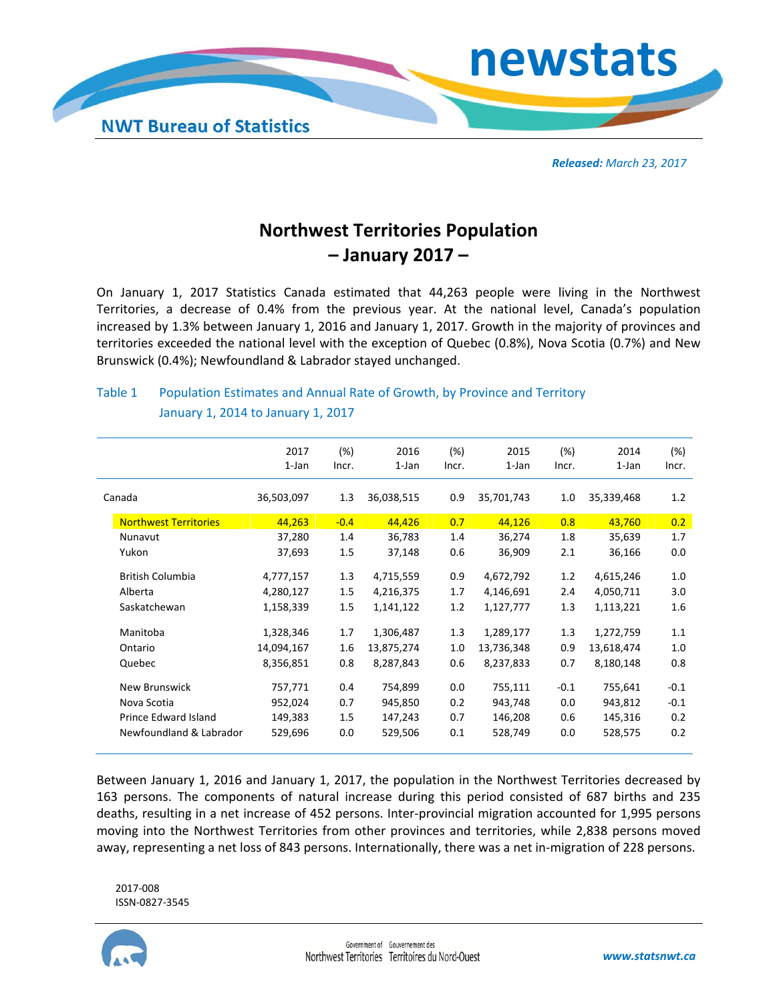

*Released: March 23, 2017*

## **Northwest Territories Population – January 2017 –**

On January 1, 2017 Statistics Canada estimated that 44,263 people were living in the Northwest Territories, a decrease of 0.4% from the previous year. At the national level, Canada's population increased by 1.3% between January 1, 2016 and January 1, 2017. Growth in the majority of provinces and territories exceeded the national level with the exception of Quebec (0.8%), Nova Scotia (0.7%) and New Brunswick (0.4%); Newfoundland & Labrador stayed unchanged.

## Table 1 Population Estimates and Annual Rate of Growth, by Province and Territory January 1, 2014 to January 1, 2017

|                              | 2017<br>1-Jan | (%)<br>Incr. | 2016<br>1-Jan | (%)<br>Incr. | 2015<br>1-Jan | (%)<br>Incr. | 2014<br>1-Jan | (%)<br>Incr. |
|------------------------------|---------------|--------------|---------------|--------------|---------------|--------------|---------------|--------------|
| Canada                       | 36,503,097    | 1.3          | 36,038,515    | 0.9          | 35,701,743    | 1.0          | 35,339,468    | 1.2          |
| <b>Northwest Territories</b> | 44,263        | $-0.4$       | 44,426        | 0.7          | 44,126        | 0.8          | 43,760        | 0.2          |
| Nunavut                      | 37,280        | 1.4          | 36,783        | 1.4          | 36,274        | 1.8          | 35,639        | 1.7          |
| Yukon                        | 37,693        | 1.5          | 37,148        | 0.6          | 36,909        | 2.1          | 36,166        | 0.0          |
| <b>British Columbia</b>      | 4,777,157     | 1.3          | 4,715,559     | 0.9          | 4,672,792     | 1.2          | 4,615,246     | 1.0          |
| Alberta                      | 4,280,127     | 1.5          | 4,216,375     | 1.7          | 4,146,691     | 2.4          | 4,050,711     | 3.0          |
| Saskatchewan                 | 1,158,339     | 1.5          | 1,141,122     | 1.2          | 1,127,777     | 1.3          | 1,113,221     | 1.6          |
| Manitoba                     | 1,328,346     | 1.7          | 1,306,487     | 1.3          | 1,289,177     | 1.3          | 1,272,759     | 1.1          |
| Ontario                      | 14,094,167    | 1.6          | 13,875,274    | 1.0          | 13,736,348    | 0.9          | 13,618,474    | 1.0          |
| Quebec                       | 8,356,851     | 0.8          | 8,287,843     | 0.6          | 8,237,833     | 0.7          | 8,180,148     | 0.8          |
| New Brunswick                | 757,771       | 0.4          | 754,899       | 0.0          | 755,111       | $-0.1$       | 755,641       | $-0.1$       |
| Nova Scotia                  | 952,024       | 0.7          | 945,850       | 0.2          | 943,748       | 0.0          | 943,812       | $-0.1$       |
| Prince Edward Island         | 149,383       | 1.5          | 147,243       | 0.7          | 146,208       | 0.6          | 145,316       | 0.2          |
| Newfoundland & Labrador      | 529,696       | 0.0          | 529,506       | 0.1          | 528,749       | 0.0          | 528,575       | 0.2          |

Between January 1, 2016 and January 1, 2017, the population in the Northwest Territories decreased by 163 persons. The components of natural increase during this period consisted of 687 births and 235 deaths, resulting in a net increase of 452 persons. Inter-provincial migration accounted for 1,995 persons moving into the Northwest Territories from other provinces and territories, while 2,838 persons moved away, representing a net loss of 843 persons. Internationally, there was a net in‐migration of 228 persons.

2017‐008 ISSN‐0827‐3545

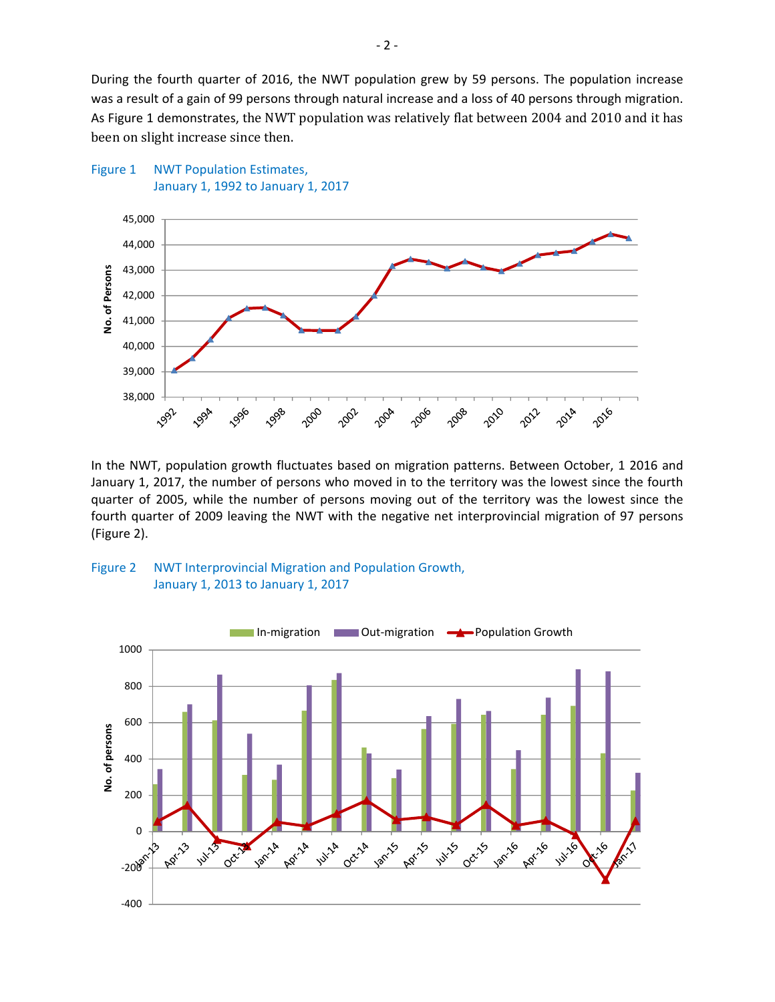During the fourth quarter of 2016, the NWT population grew by 59 persons. The population increase was a result of a gain of 99 persons through natural increase and a loss of 40 persons through migration. As Figure 1 demonstrates, the NWT population was relatively flat between 2004 and 2010 and it has been on slight increase since then.



In the NWT, population growth fluctuates based on migration patterns. Between October, 1 2016 and January 1, 2017, the number of persons who moved in to the territory was the lowest since the fourth quarter of 2005, while the number of persons moving out of the territory was the lowest since the fourth quarter of 2009 leaving the NWT with the negative net interprovincial migration of 97 persons (Figure 2).



Figure 1 NWT Population Estimates,

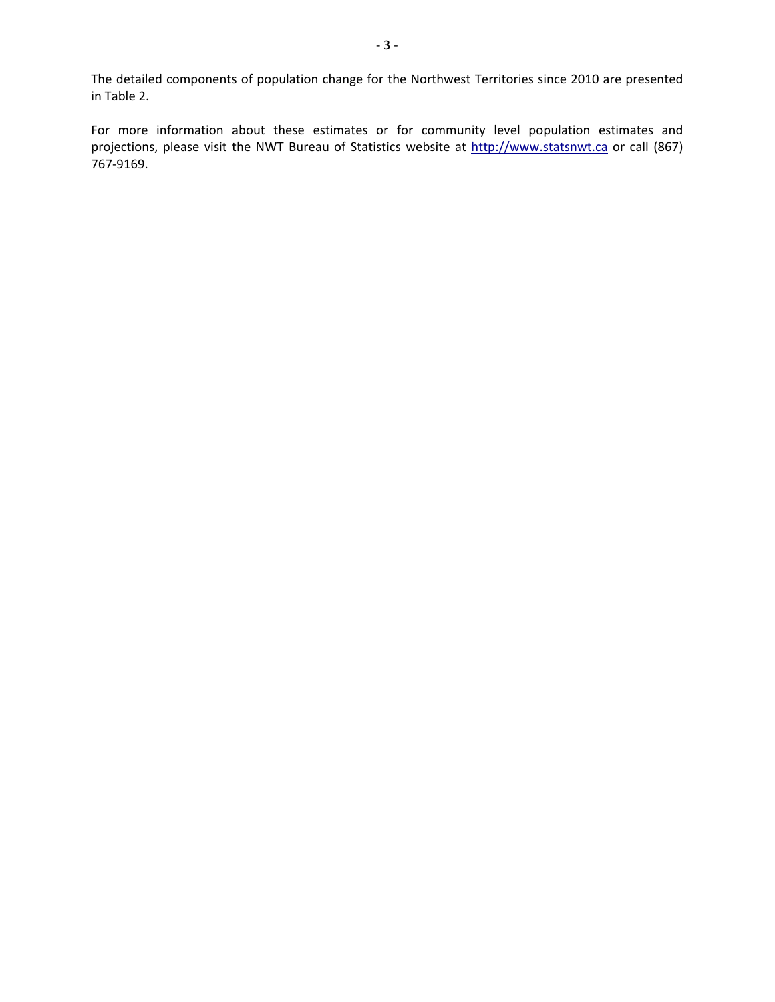The detailed components of population change for the Northwest Territories since 2010 are presented in Table 2.

For more information about these estimates or for community level population estimates and projections, please visit the NWT Bureau of Statistics website at http://www.statsnwt.ca or call (867) 767‐9169.